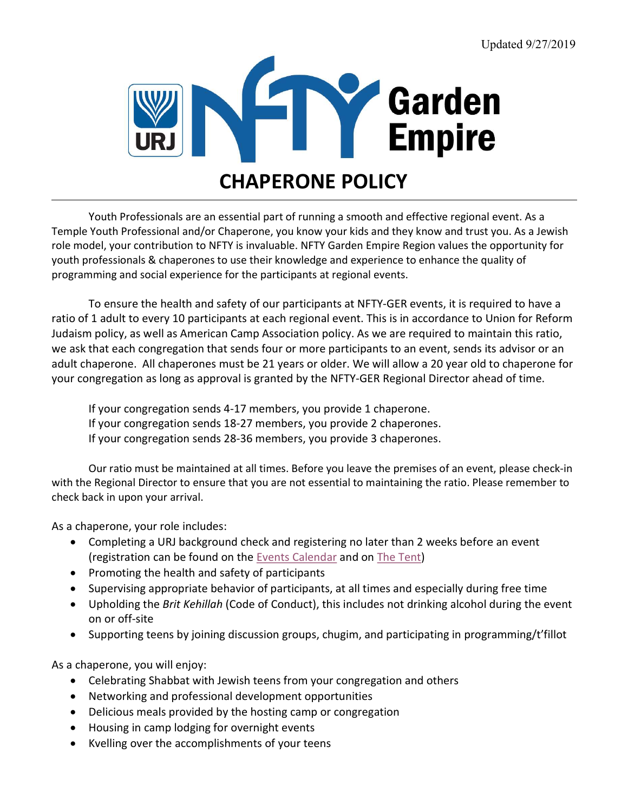

Youth Professionals are an essential part of running a smooth and effective regional event. As a Temple Youth Professional and/or Chaperone, you know your kids and they know and trust you. As a Jewish role model, your contribution to NFTY is invaluable. NFTY Garden Empire Region values the opportunity for youth professionals & chaperones to use their knowledge and experience to enhance the quality of programming and social experience for the participants at regional events.

To ensure the health and safety of our participants at NFTY-GER events, it is required to have a ratio of 1 adult to every 10 participants at each regional event. This is in accordance to Union for Reform Judaism policy, as well as American Camp Association policy. As we are required to maintain this ratio, we ask that each congregation that sends four or more participants to an event, sends its advisor or an adult chaperone. All chaperones must be 21 years or older. We will allow a 20 year old to chaperone for your congregation as long as approval is granted by the NFTY-GER Regional Director ahead of time.

If your congregation sends 4-17 members, you provide 1 chaperone.

If your congregation sends 18-27 members, you provide 2 chaperones.

If your congregation sends 28-36 members, you provide 3 chaperones.

Our ratio must be maintained at all times. Before you leave the premises of an event, please check-in with the Regional Director to ensure that you are not essential to maintaining the ratio. Please remember to check back in upon your arrival.

As a chaperone, your role includes:

- Completing a URJ background check and registering no later than 2 weeks before an event (registration can be found on the Events Calendar and on The Tent)
- Promoting the health and safety of participants
- Supervising appropriate behavior of participants, at all times and especially during free time
- Upholding the Brit Kehillah (Code of Conduct), this includes not drinking alcohol during the event on or off-site
- Supporting teens by joining discussion groups, chugim, and participating in programming/t'fillot

As a chaperone, you will enjoy:

- Celebrating Shabbat with Jewish teens from your congregation and others
- Networking and professional development opportunities
- Delicious meals provided by the hosting camp or congregation
- Housing in camp lodging for overnight events
- Kvelling over the accomplishments of your teens